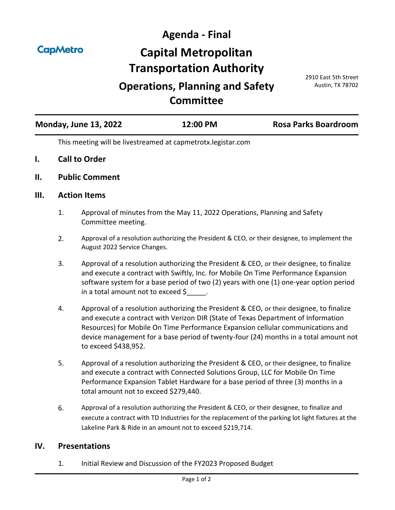**CapMetro** 

**Agenda - Final Capital Metropolitan Transportation Authority**

# **Operations, Planning and Safety Committee**

2910 East 5th Street Austin, TX 78702

| <b>Monday, June 13, 2022</b> | 12:00 PM | <b>Rosa Parks Boardroom</b> |
|------------------------------|----------|-----------------------------|
|                              |          |                             |

This meeting will be livestreamed at capmetrotx.legistar.com

- **I. Call to Order**
- **II. Public Comment**

#### **III. Action Items**

- 1. [Approval of minutes from the May 11, 2022 Operations, Planning and Safety](http://capmetrotx.legistar.com/gateway.aspx?m=l&id=/matter.aspx?key=1566)  Committee meeting.
- 2. [Approval of a resolution authorizing the President & CEO, or their designee, to implement the](http://capmetrotx.legistar.com/gateway.aspx?m=l&id=/matter.aspx?key=1565)  August 2022 Service Changes.
- 3. Approval of a resolution authorizing the President & CEO, or their designee, to finalize and execute a contract with Swiftly, Inc. for Mobile On Time Performance Expansion [software system for a base period of two \(2\) years with one \(1\) one-year option period](http://capmetrotx.legistar.com/gateway.aspx?m=l&id=/matter.aspx?key=1385)  in a total amount not to exceed  $\zeta$  .
- 4. Approval of a resolution authorizing the President & CEO, or their designee, to finalize and execute a contract with Verizon DIR (State of Texas Department of Information Resources) for Mobile On Time Performance Expansion cellular communications and [device management for a base period of twenty-four \(24\) months in a total amount not](http://capmetrotx.legistar.com/gateway.aspx?m=l&id=/matter.aspx?key=1386)  to exceed \$438,952.
- 5. Approval of a resolution authorizing the President & CEO, or their designee, to finalize and execute a contract with Connected Solutions Group, LLC for Mobile On Time [Performance Expansion Tablet Hardware for a base period of three \(3\) months in a](http://capmetrotx.legistar.com/gateway.aspx?m=l&id=/matter.aspx?key=1562)  total amount not to exceed \$279,440.
- 6. Approval of a resolution authorizing the President & CEO, or their designee, to finalize and [execute a contract with TD Industries for the replacement of the parking lot light fixtures at the](http://capmetrotx.legistar.com/gateway.aspx?m=l&id=/matter.aspx?key=1568)  Lakeline Park & Ride in an amount not to exceed \$219,714.

#### **IV. Presentations**

1. [Initial Review and Discussion of the FY2023 Proposed Budget](http://capmetrotx.legistar.com/gateway.aspx?m=l&id=/matter.aspx?key=1564)